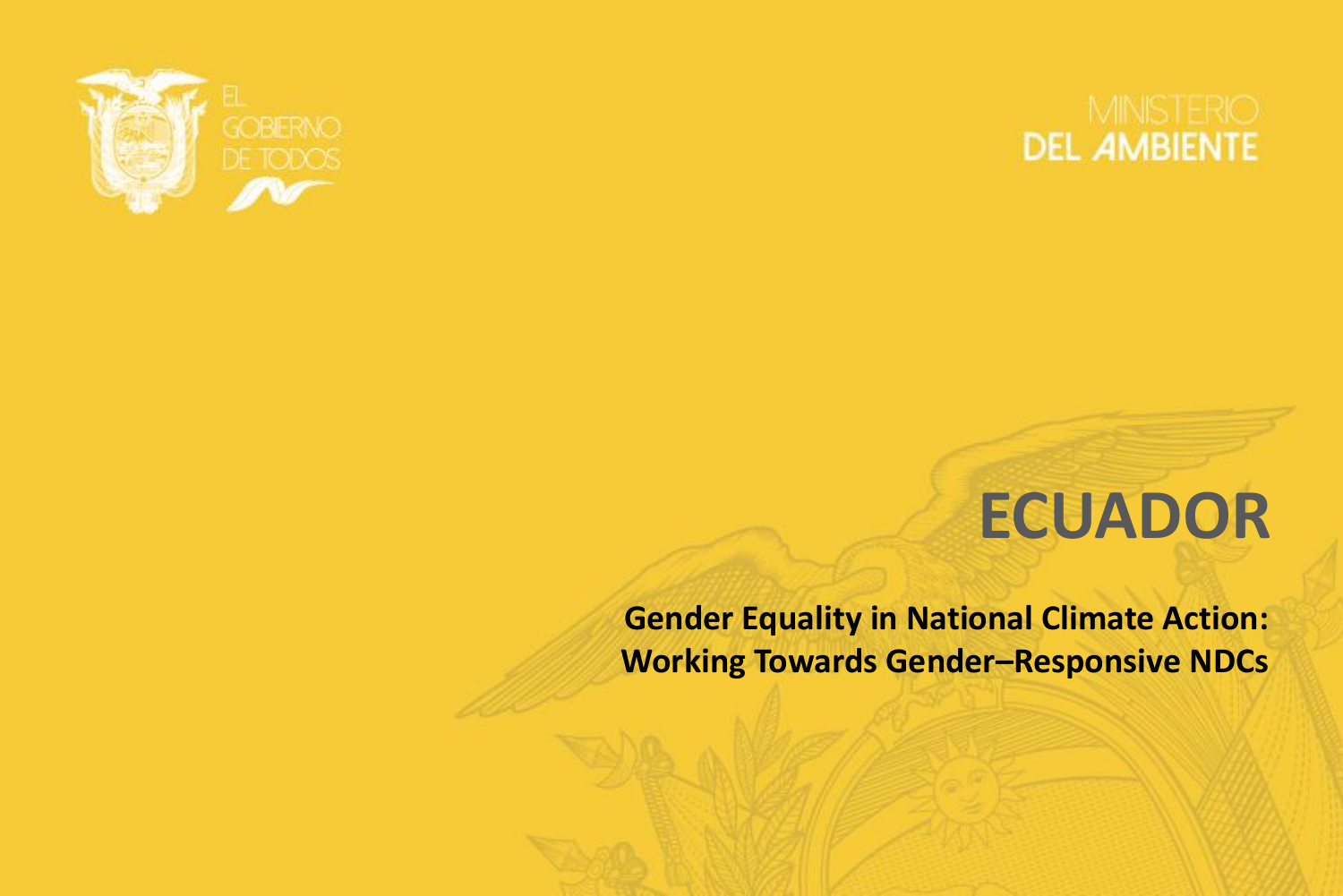



## **ECUADOR**

**Gender Equality in National Climate Action: Working Towards Gender–Responsive NDCs**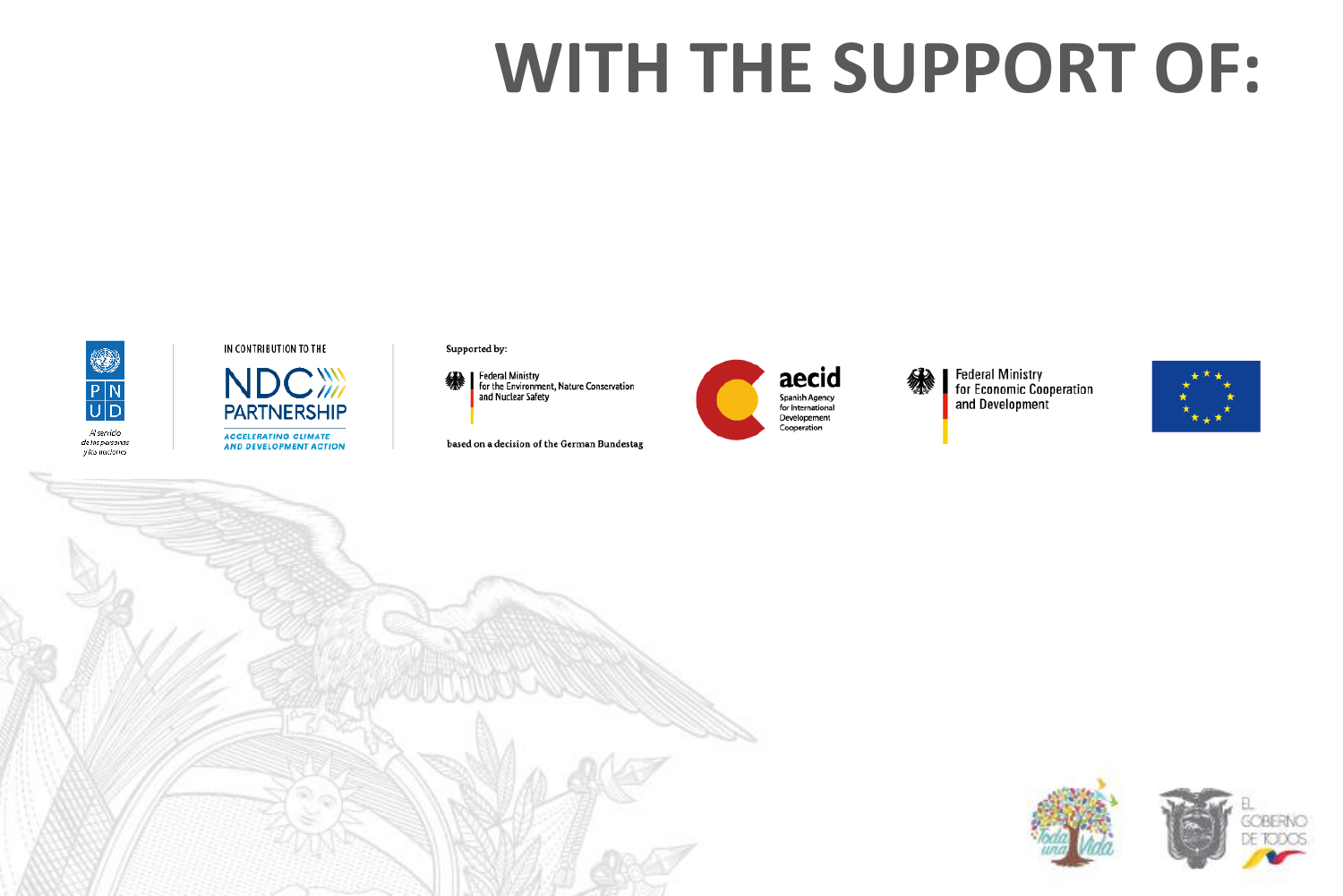# **WITH THE SUPPORT OF:**



#### IN CONTRIBUTION TO THE

**NDC WM PARTNERSHIP ACCELERATING CLIMATE AND DEVELOPMENT ACTION** 

#### Supported by:



based on a decision of the German Bundestag





Federal Ministry<br>for Economic Cooperation<br>and Development



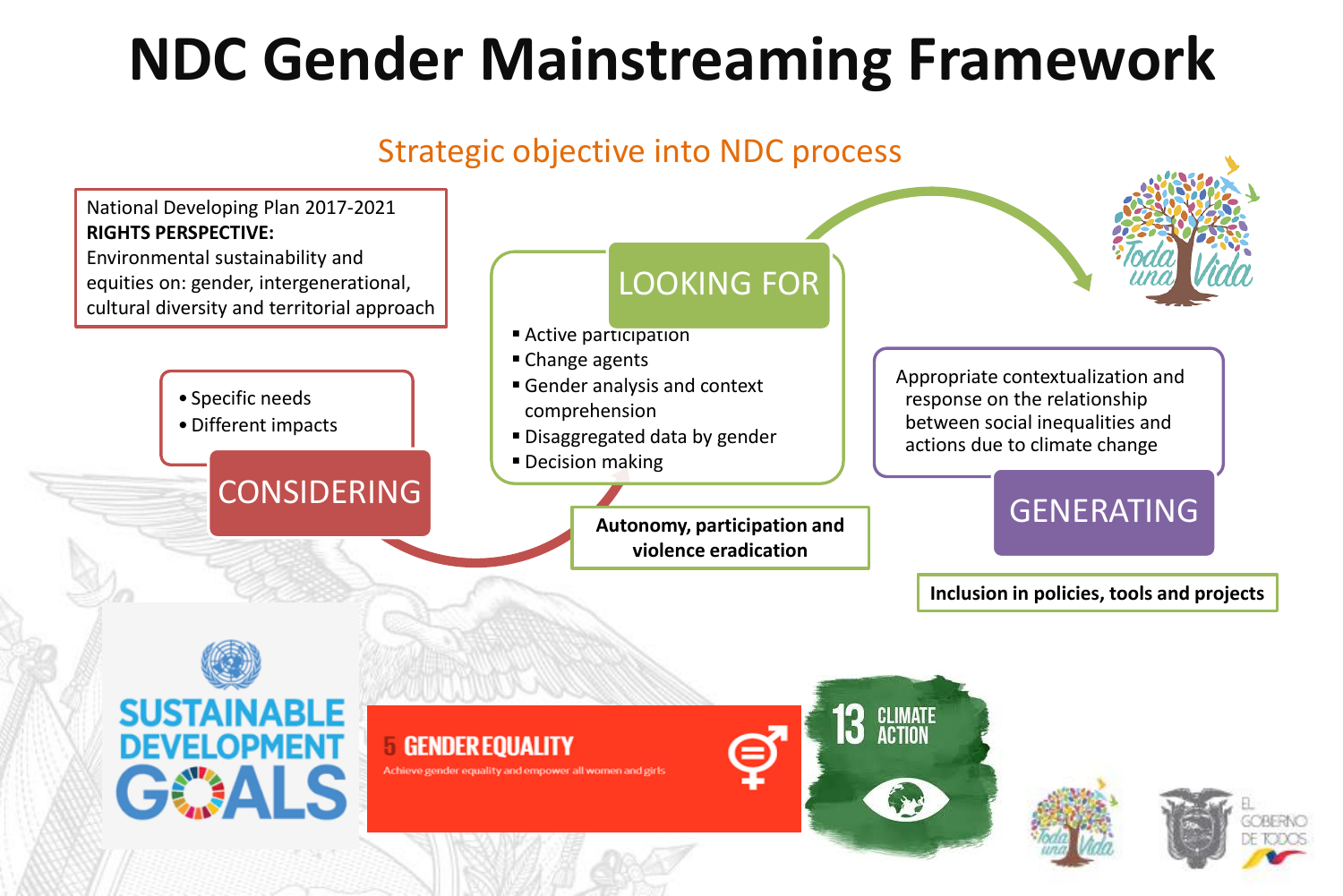## **NDC Gender Mainstreaming Framework**

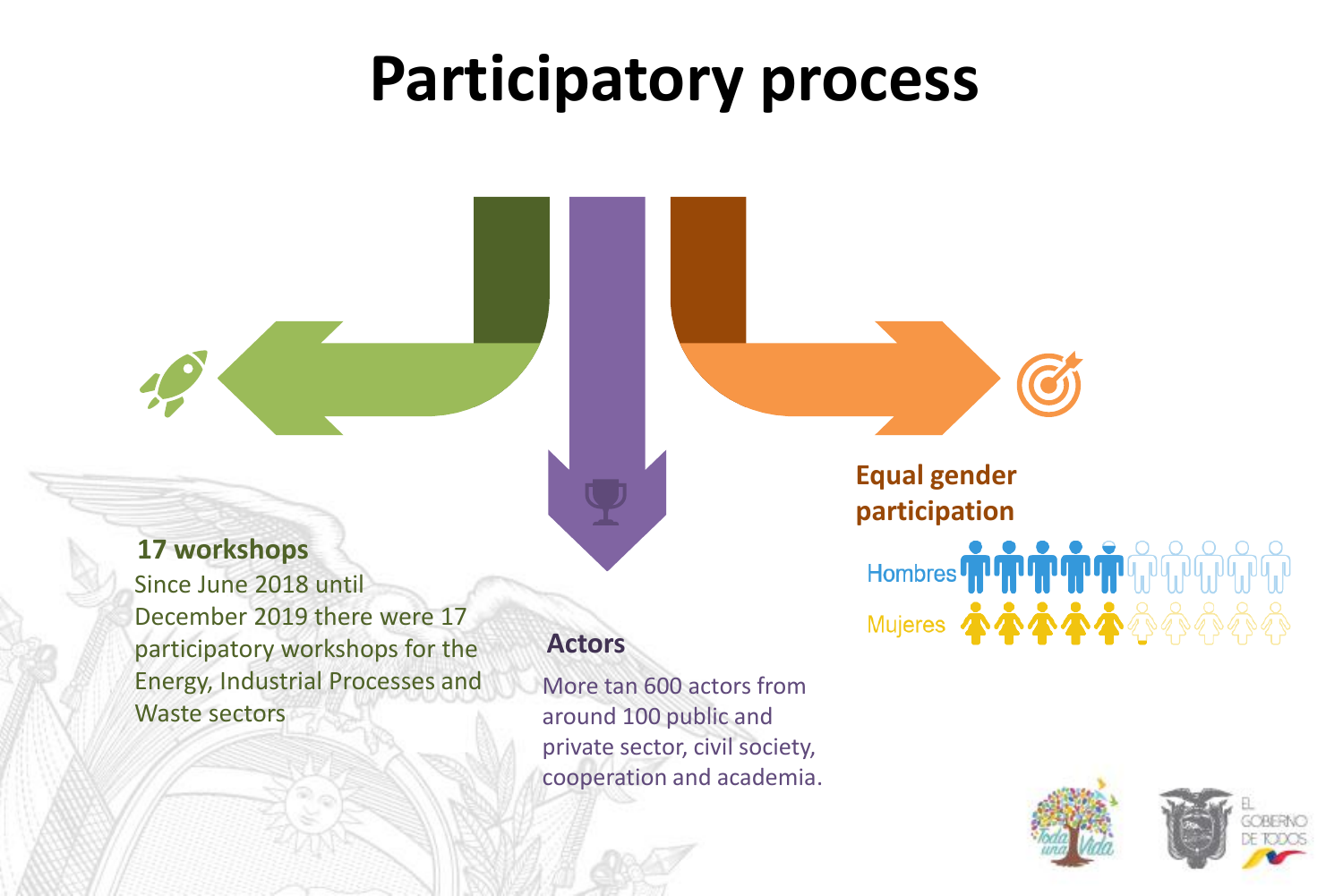## **Participatory process**

### **17 workshops**

Since June 2018 until December 2019 there were 17 participatory workshops for the Energy, Industrial Processes and Waste sectors

### **Actors**

More tan 600 actors from around 100 public and private sector, civil society, cooperation and academia. **Equal gender** 

**participation**

Hombres THE THE THE THE REAL PROPERTY

Mujeres 本本本本公会会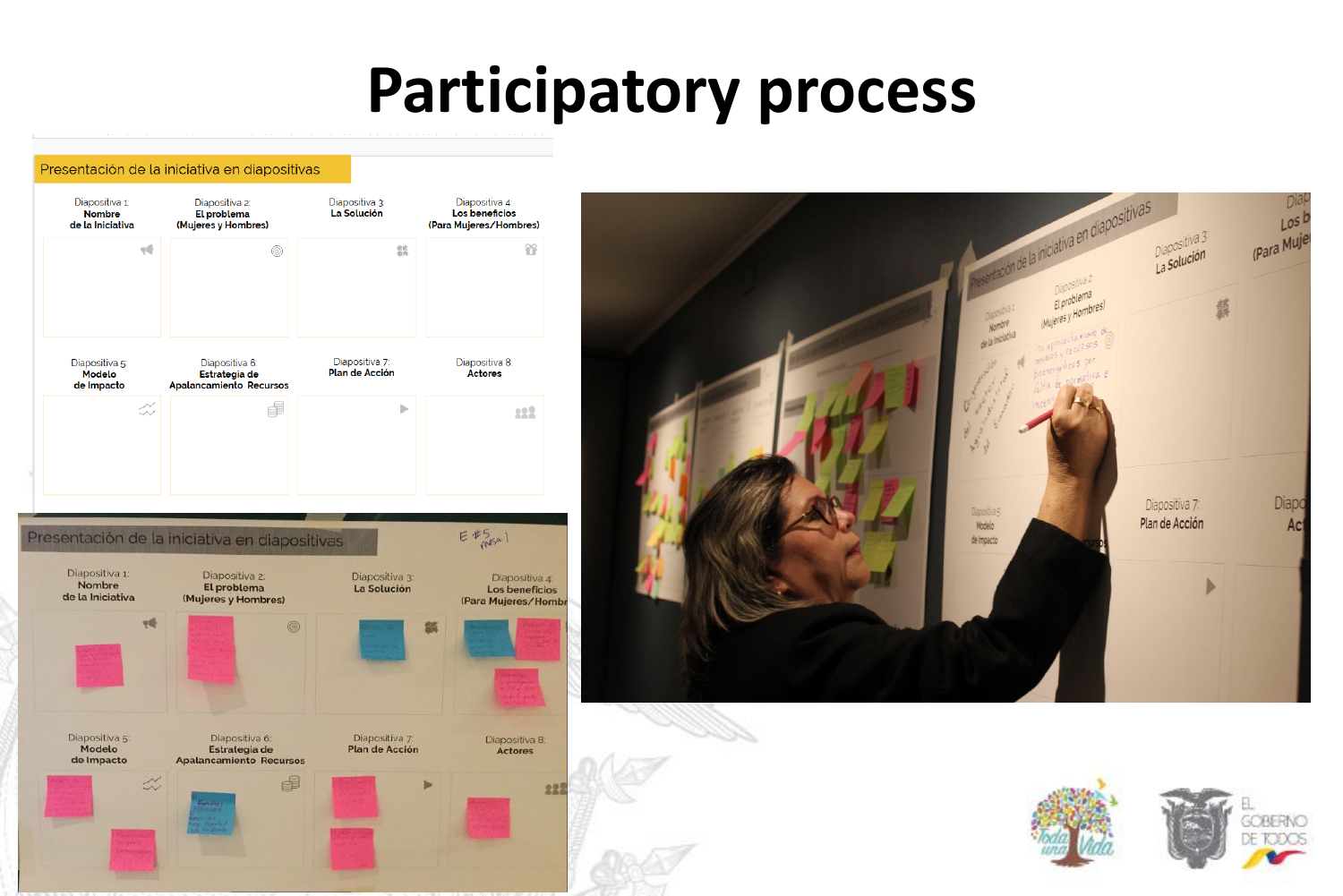## **Participatory process**

#### Presentación de la iniciativa en diapositivas







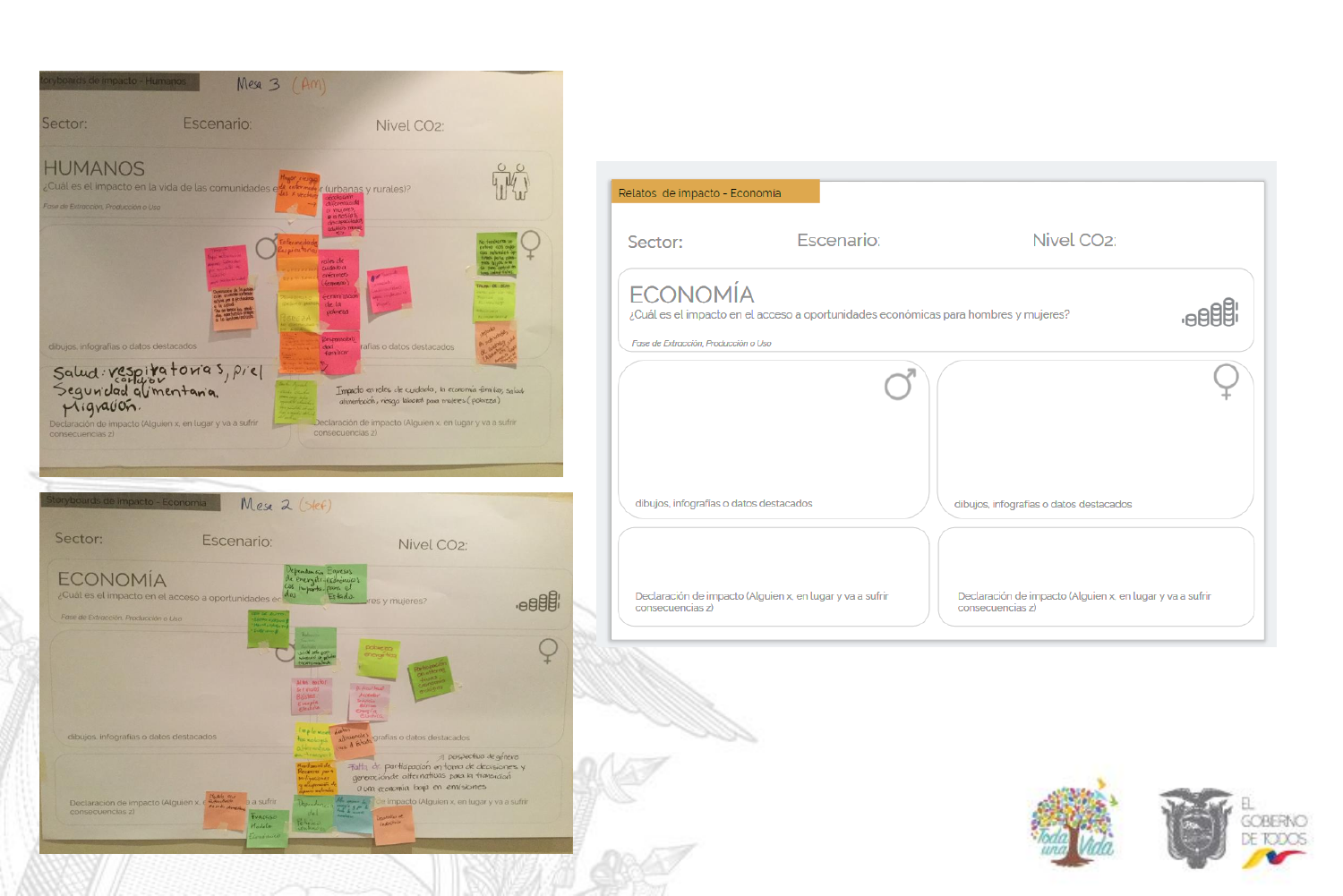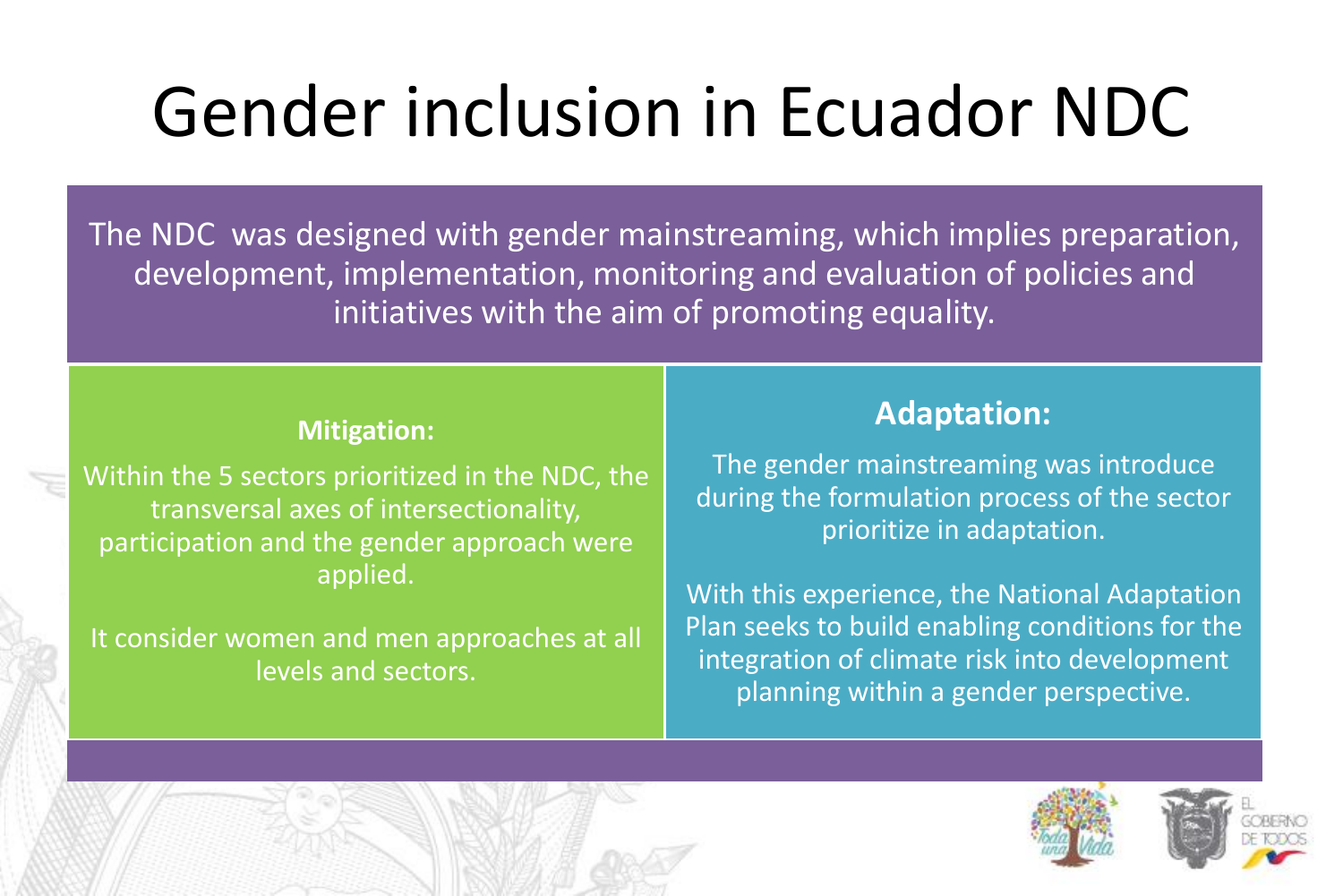# Gender inclusion in Ecuador NDC

The NDC was designed with gender mainstreaming, which implies preparation, development, implementation, monitoring and evaluation of policies and initiatives with the aim of promoting equality.

### **Mitigation:**

Within the 5 sectors prioritized in the NDC, the transversal axes of intersectionality, participation and the gender approach were applied.

It consider women and men approaches at all levels and sectors.

### **Adaptation:**

The gender mainstreaming was introduce during the formulation process of the sector prioritize in adaptation.

With this experience, the National Adaptation Plan seeks to build enabling conditions for the integration of climate risk into development planning within a gender perspective.

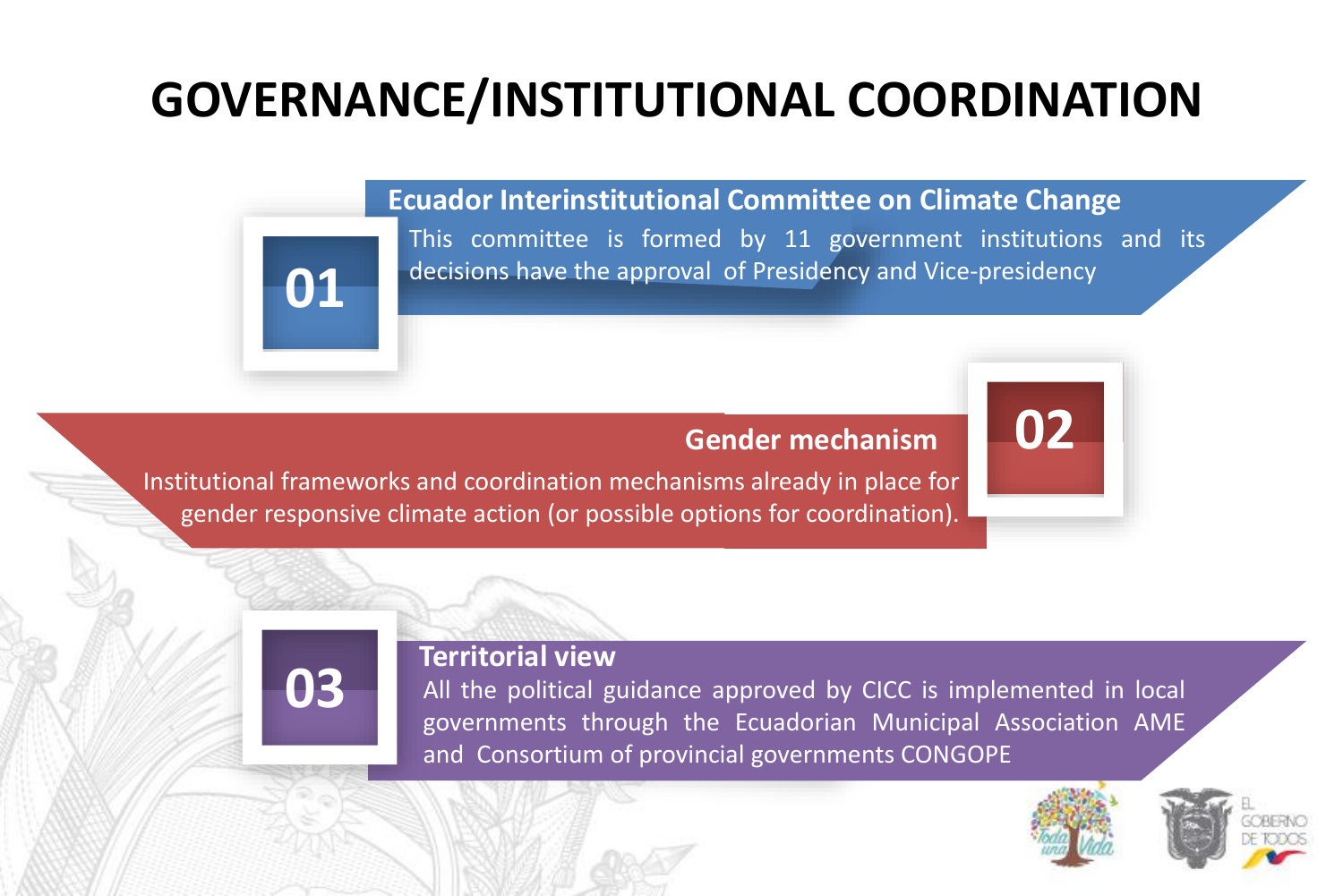### **GOVERNANCE/INSTITUTIONAL COORDINATION**

#### **Ecuador Interinstitutional Committee on Climate Change**

This committee is formed by 11 government institutions and its decisions have the approval of Presidency and Vice-presidency

### **Gender mechanism**

Institutional frameworks and coordination mechanisms already in place for gender responsive climate action (or possible options for coordination).

### **Territorial view**

**03**

**01**

All the political guidance approved by CICC is implemented in local governments through the Ecuadorian Municipal Association AME and Consortium of provincial governments CONGOPE



**02**